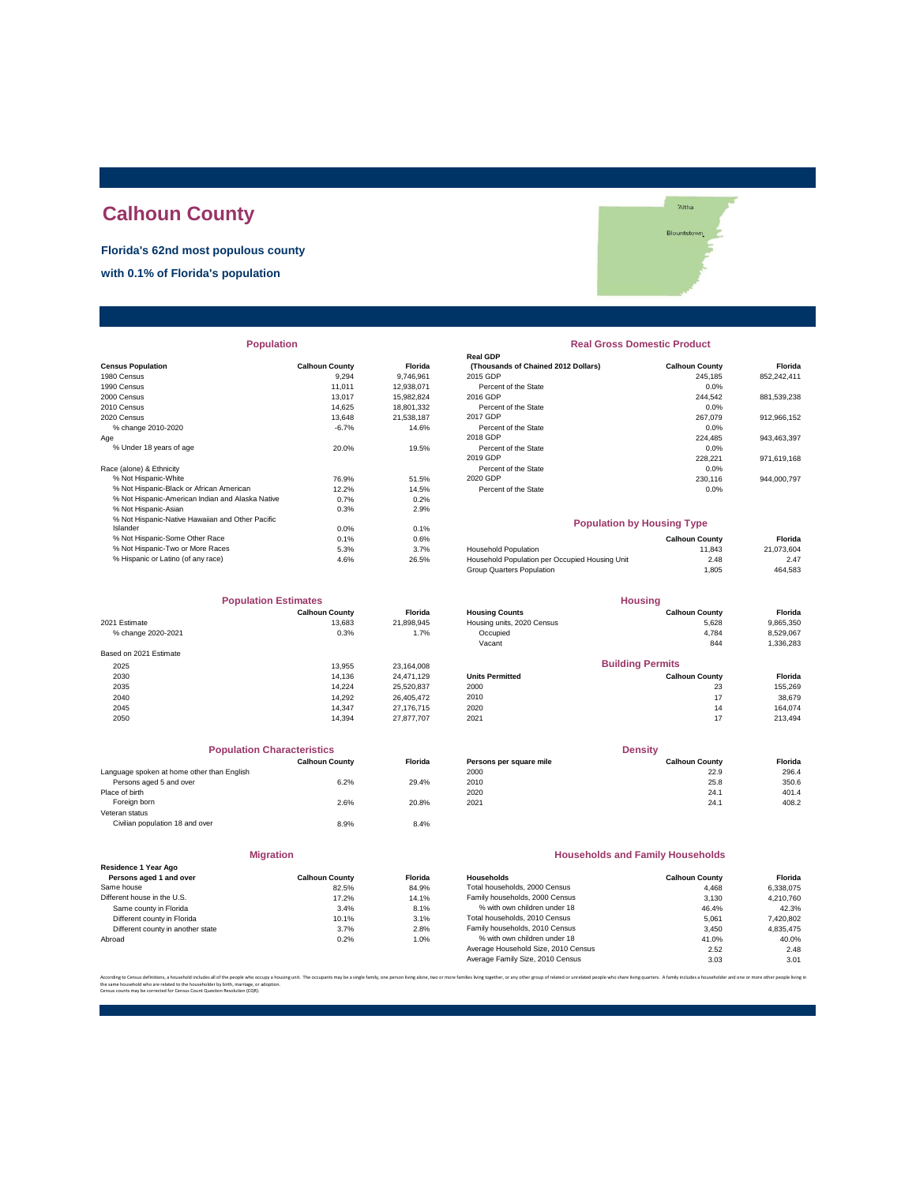# **Calhoun County**

**Florida's 62nd most populous county**

**with 0.1% of Florida's population**

|                                                  |                       |            | Real GDP                                       |                       |             |
|--------------------------------------------------|-----------------------|------------|------------------------------------------------|-----------------------|-------------|
| <b>Census Population</b>                         | <b>Calhoun County</b> | Florida    | (Thousands of Chained 2012 Dollars)            | <b>Calhoun County</b> | Florida     |
| 1980 Census                                      | 9.294                 | 9.746.961  | 2015 GDP                                       | 245,185               | 852,242,411 |
| 1990 Census                                      | 11,011                | 12,938,071 | Percent of the State                           | 0.0%                  |             |
| 2000 Census                                      | 13.017                | 15,982,824 | 2016 GDP                                       | 244,542               | 881,539,238 |
| 2010 Census                                      | 14,625                | 18,801,332 | Percent of the State                           | 0.0%                  |             |
| 2020 Census                                      | 13.648                | 21.538.187 | 2017 GDP                                       | 267.079               | 912,966,152 |
| % change 2010-2020                               | $-6.7%$               | 14.6%      | Percent of the State                           | 0.0%                  |             |
| Age                                              |                       |            | 2018 GDP                                       | 224,485               | 943,463,397 |
| % Under 18 years of age                          | 20.0%                 | 19.5%      | Percent of the State                           | 0.0%                  |             |
|                                                  |                       |            | 2019 GDP                                       | 228,221               | 971,619,168 |
| Race (alone) & Ethnicity                         |                       |            | Percent of the State                           | 0.0%                  |             |
| % Not Hispanic-White                             | 76.9%                 | 51.5%      | 2020 GDP                                       | 230,116               | 944,000,797 |
| % Not Hispanic-Black or African American         | 12.2%                 | 14.5%      | Percent of the State                           | $0.0\%$               |             |
| % Not Hispanic-American Indian and Alaska Native | 0.7%                  | 0.2%       |                                                |                       |             |
| % Not Hispanic-Asian                             | 0.3%                  | 2.9%       |                                                |                       |             |
| % Not Hispanic-Native Hawaiian and Other Pacific |                       |            | <b>Population by Housing Type</b>              |                       |             |
| Islander                                         | 0.0%                  | 0.1%       |                                                |                       |             |
| % Not Hispanic-Some Other Race                   | 0.1%                  | 0.6%       |                                                | <b>Calhoun County</b> | Florida     |
| % Not Hispanic-Two or More Races                 | 5.3%                  | 3.7%       | <b>Household Population</b>                    | 11.843                | 21,073,604  |
| % Hispanic or Latino (of any race)               | 4.6%                  | 26.5%      | Household Population per Occupied Housing Unit | 2.48                  | 2.47        |
|                                                  |                       |            |                                                |                       |             |

| <b>Population Estimates</b> |                       | <b>Housing</b> |                            |                         |           |
|-----------------------------|-----------------------|----------------|----------------------------|-------------------------|-----------|
|                             | <b>Calhoun County</b> | <b>Florida</b> | <b>Housing Counts</b>      | <b>Calhoun County</b>   | Florida   |
| 2021 Estimate               | 13.683                | 21,898,945     | Housing units, 2020 Census | 5,628                   | 9,865,350 |
| % change 2020-2021          | 0.3%                  | 1.7%           | Occupied                   | 4,784                   | 8,529,067 |
|                             |                       |                | Vacant                     | 844                     | 1,336,283 |
| Based on 2021 Estimate      |                       |                |                            |                         |           |
| 2025                        | 13.955                | 23.164.008     |                            | <b>Building Permits</b> |           |
| 2030                        | 14.136                | 24.471.129     | <b>Units Permitted</b>     | <b>Calhoun County</b>   | Florida   |
| 2035                        | 14.224                | 25,520,837     | 2000                       | 23                      | 155,269   |
| 2040                        | 14.292                | 26.405.472     | 2010                       | 17                      | 38,679    |
| 2045                        | 14.347                | 27.176.715     | 2020                       | 14                      | 164.074   |
| 2050                        | 14.394                | 27.877.707     | 2021                       | 17                      | 213,494   |

|                                            | <b>Population Characteristics</b> |                |
|--------------------------------------------|-----------------------------------|----------------|
|                                            | <b>Calhoun County</b>             | <b>Florida</b> |
| Language spoken at home other than English |                                   |                |
| Persons aged 5 and over                    | 6.2%                              | 29.4%          |
| Place of birth                             |                                   |                |
| Foreign born                               | 2.6%                              | 20.8%          |
| Veteran status                             |                                   |                |
| Civilian population 18 and over            | 8.9%                              | 8.4%           |
|                                            |                                   |                |

**Migration**

| Residence 1 Year Ago              |                       |         |
|-----------------------------------|-----------------------|---------|
| Persons aged 1 and over           | <b>Calhoun County</b> | Florida |
| Same house                        | 82.5%                 | 84.9%   |
| Different house in the U.S.       | 17.2%                 | 14.1%   |
| Same county in Florida            | 3.4%                  | 8.1%    |
| Different county in Florida       | 10.1%                 | 3.1%    |
| Different county in another state | 3.7%                  | 2.8%    |
| Abroad                            | 0.2%                  | 1.0%    |

| <b>Population</b>                                |                       |                | <b>Real Gross Domestic Product</b>  |                       |                |  |
|--------------------------------------------------|-----------------------|----------------|-------------------------------------|-----------------------|----------------|--|
|                                                  |                       |                | <b>Real GDP</b>                     |                       |                |  |
| sus Population                                   | <b>Calhoun County</b> | <b>Florida</b> | (Thousands of Chained 2012 Dollars) | <b>Calhoun County</b> | <b>Florida</b> |  |
| 0 Census                                         | 9.294                 | 9.746.961      | 2015 GDP                            | 245.185               | 852.242.411    |  |
| 0 Census                                         | 11.011                | 12.938.071     | Percent of the State                | 0.0%                  |                |  |
| 0 Census                                         | 13.017                | 15.982.824     | 2016 GDP                            | 244.542               | 881,539,238    |  |
| 0 Census                                         | 14.625                | 18.801.332     | Percent of the State                | 0.0%                  |                |  |
| 0 Census                                         | 13.648                | 21.538.187     | 2017 GDP                            | 267.079               | 912.966.152    |  |
| % change 2010-2020                               | $-6.7%$               | 14.6%          | Percent of the State                | 0.0%                  |                |  |
|                                                  |                       |                | 2018 GDP                            | 224.485               | 943,463,397    |  |
| % Under 18 years of age                          | 20.0%                 | 19.5%          | Percent of the State                | 0.0%                  |                |  |
|                                                  |                       |                | 2019 GDP                            | 228.221               | 971.619.168    |  |
| e (alone) & Ethnicity                            |                       |                | Percent of the State                | 0.0%                  |                |  |
| % Not Hispanic-White                             | 76.9%                 | 51.5%          | 2020 GDP                            | 230,116               | 944,000,797    |  |
| % Not Hispanic-Black or African American         | 12.2%                 | 14.5%          | Percent of the State                | 0.0%                  |                |  |
| % Not Hienanic-American Indian and Alaska Native | 0.70/                 | 0.2%           |                                     |                       |                |  |

### **Population by Housing Type**

| $0.1\%$ | 0.6%  |                                                | Calhoun Countv | Florida    |
|---------|-------|------------------------------------------------|----------------|------------|
| 5.3%    | 3.7%  | <b>Household Population</b>                    | 11.843         | 21.073.604 |
| 4.6%    | 26.5% | Household Population per Occupied Housing Unit | 2.48           | 2.47       |
|         |       | Group Quarters Population                      | .805           | 464.583    |
|         |       |                                                |                |            |

| <b>Population Estimates</b> |                       |            | <b>Housing</b>             |                         |           |
|-----------------------------|-----------------------|------------|----------------------------|-------------------------|-----------|
|                             | <b>Calhoun County</b> | Florida    | <b>Housing Counts</b>      | <b>Calhoun County</b>   | Florida   |
| 2021 Estimate               | 13.683                | 21.898.945 | Housing units, 2020 Census | 5.628                   | 9,865,350 |
| % change 2020-2021          | 0.3%                  | 1.7%       | Occupied                   | 4.784                   | 8.529.067 |
|                             |                       |            | Vacant                     | 844                     | 1,336,283 |
| Based on 2021 Estimate      |                       |            |                            |                         |           |
| 2025                        | 13.955                | 23.164.008 |                            | <b>Building Permits</b> |           |
| 2030                        | 14.136                | 24.471.129 | <b>Units Permitted</b>     | <b>Calhoun County</b>   | Florida   |
| 2035                        | 14.224                | 25.520.837 | 2000                       | 23                      | 155.269   |
| 2040                        | 14.292                | 26.405.472 | 2010                       | 17                      | 38,679    |
|                             |                       |            |                            |                         |           |

| <b>Population Characteristics</b>          |                       |                | <b>Density</b>          |                       |         |
|--------------------------------------------|-----------------------|----------------|-------------------------|-----------------------|---------|
|                                            | <b>Calhoun County</b> | <b>Florida</b> | Persons per square mile | <b>Calhoun County</b> | Florida |
| Language spoken at home other than English |                       |                | 2000                    | 22.9                  | 296.4   |
| Persons aged 5 and over                    | 6.2%                  | 29.4%          | 2010                    | 25.8                  | 350.6   |
| Place of birth                             |                       |                | 2020                    | 24.1                  | 401.4   |
| Foreign born                               | 2.6%                  | 20.8%          | 2021                    | 24.1                  | 408.2   |

### **Households and Family Households**

| <b>Calhoun County</b> | <b>Florida</b> | Households                          | <b>Calhoun County</b> | Florida   |
|-----------------------|----------------|-------------------------------------|-----------------------|-----------|
| 82.5%                 | 84.9%          | Total households, 2000 Census       | 4.468                 | 6.338.075 |
| 17.2%                 | 14.1%          | Family households, 2000 Census      | 3.130                 | 4.210.760 |
| 3.4%                  | 8.1%           | % with own children under 18        | 46.4%                 | 42.3%     |
| 10.1%                 | 3.1%           | Total households, 2010 Census       | 5.061                 | 7,420,802 |
| 3.7%                  | 2.8%           | Family households, 2010 Census      | 3.450                 | 4.835.475 |
| 0.2%                  | 1.0%           | % with own children under 18        | 41.0%                 | 40.0%     |
|                       |                | Average Household Size, 2010 Census | 2.52                  | 2.48      |
|                       |                | Average Family Size, 2010 Census    | 3.03                  | 3.01      |
|                       |                |                                     |                       |           |

.<br>ilies living together, or any other group of related or unrelated people who share living quarters. A family includes a householder and one or more other pe the same household who are related to the householder by birth, marriage, or adoption. Census counts may be corrected for Census Count Question Resolution (CQR).

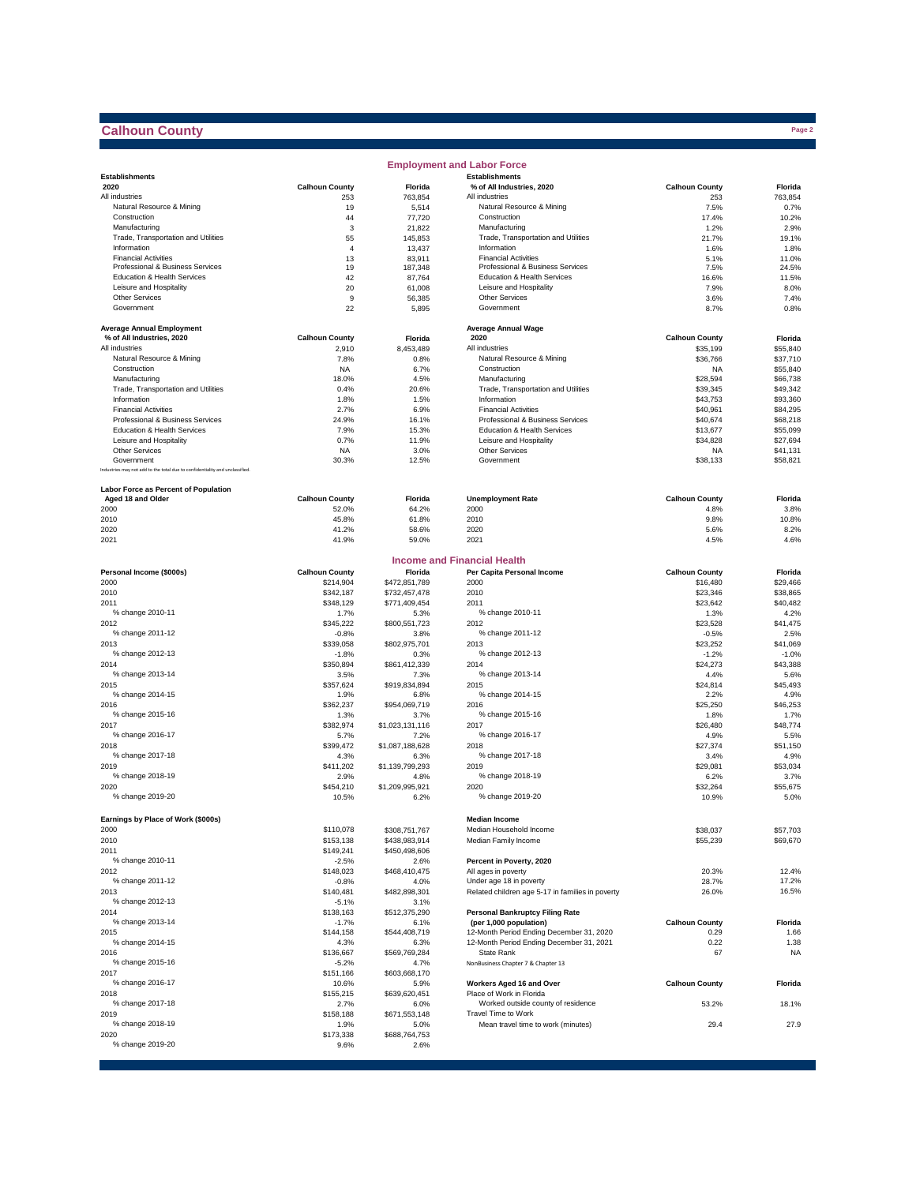# **Calhoun County**

|                                                                              |                       |                   | <b>Employment and Labor Force</b>                  |                       |               |
|------------------------------------------------------------------------------|-----------------------|-------------------|----------------------------------------------------|-----------------------|---------------|
| <b>Establishments</b>                                                        |                       |                   | <b>Establishments</b>                              |                       |               |
| 2020                                                                         | <b>Calhoun County</b> | Florida           | % of All Industries, 2020                          | <b>Calhoun County</b> | Florida       |
| All industries                                                               | 253                   | 763,854           | All industries                                     | 253                   | 763,854       |
| Natural Resource & Mining                                                    | 19                    | 5,514             | Natural Resource & Mining                          | 7.5%                  | 0.7%          |
| Construction                                                                 | 44                    | 77,720            | Construction                                       | 17.4%                 | 10.2%         |
| Manufacturing<br>Trade, Transportation and Utilities                         | 3                     | 21,822            | Manufacturing                                      | 1.2%                  | 2.9%          |
| Information                                                                  | 55<br>$\overline{4}$  | 145,853           | Trade, Transportation and Utilities<br>Information | 21.7%                 | 19.1%         |
| <b>Financial Activities</b>                                                  |                       | 13,437            | <b>Financial Activities</b>                        | 1.6%                  | 1.8%<br>11.0% |
| Professional & Business Services                                             | 13<br>19              | 83,911<br>187,348 | Professional & Business Services                   | 5.1%<br>7.5%          | 24.5%         |
| Education & Health Services                                                  | 42                    | 87,764            | Education & Health Services                        | 16.6%                 | 11.5%         |
| Leisure and Hospitality                                                      | 20                    | 61,008            | Leisure and Hospitality                            | 7.9%                  | 8.0%          |
| <b>Other Services</b>                                                        | 9                     | 56,385            | <b>Other Services</b>                              | 3.6%                  | 7.4%          |
| Government                                                                   | 22                    | 5,895             | Government                                         | 8.7%                  | 0.8%          |
|                                                                              |                       |                   |                                                    |                       |               |
| <b>Average Annual Employment</b>                                             |                       |                   | <b>Average Annual Wage</b>                         |                       |               |
| % of All Industries, 2020                                                    | <b>Calhoun County</b> | Florida           | 2020                                               | <b>Calhoun County</b> | Florida       |
| All industries                                                               | 2,910                 | 8,453,489         | All industries                                     | \$35,199              | \$55,840      |
| Natural Resource & Mining                                                    | 7.8%                  | 0.8%              | Natural Resource & Mining                          | \$36,766              | \$37,710      |
| Construction                                                                 | <b>NA</b>             | 6.7%              | Construction                                       | <b>NA</b>             | \$55,840      |
| Manufacturing                                                                | 18.0%                 | 4.5%              | Manufacturing                                      | \$28,594              | \$66,738      |
| Trade, Transportation and Utilities                                          | 0.4%                  | 20.6%             | Trade, Transportation and Utilities                | \$39,345              | \$49,342      |
| Information                                                                  | 1.8%                  | 1.5%              | Information                                        | \$43,753              | \$93,360      |
| <b>Financial Activities</b>                                                  | 2.7%                  | 6.9%              | <b>Financial Activities</b>                        | \$40,961              | \$84,295      |
| Professional & Business Services                                             | 24.9%                 | 16.1%             | Professional & Business Services                   | \$40,674              | \$68,218      |
| Education & Health Services                                                  | 7.9%                  | 15.3%             | Education & Health Services                        | \$13,677              | \$55,099      |
| Leisure and Hospitality                                                      | 0.7%                  | 11.9%             | Leisure and Hospitality                            | \$34,828              | \$27,694      |
| <b>Other Services</b>                                                        | <b>NA</b>             | 3.0%              | Other Services                                     | <b>NA</b>             | \$41,131      |
| Government                                                                   | 30.3%                 | 12.5%             | Government                                         | \$38,133              | \$58,821      |
| Industries may not add to the total due to confidentiality and unclassified. |                       |                   |                                                    |                       |               |
| Labor Force as Percent of Population                                         |                       |                   |                                                    |                       |               |
| Aged 18 and Older                                                            | <b>Calhoun County</b> | Florida           | <b>Unemployment Rate</b>                           | <b>Calhoun County</b> | Florida       |
| 2000                                                                         | 52.0%                 | 64.2%             | 2000                                               | 4.8%                  | 3.8%          |
| 2010                                                                         | 45.8%                 | 61.8%             | 2010                                               | 9.8%                  | 10.8%         |
| 2020                                                                         | 41.2%                 | 58.6%             | 2020                                               | 5.6%                  | 8.2%          |
| 2021                                                                         | 41.9%                 | 59.0%             | 2021                                               | 4.5%                  | 4.6%          |
|                                                                              |                       |                   |                                                    |                       |               |
|                                                                              |                       |                   | <b>Income and Financial Health</b>                 |                       |               |
| Personal Income (\$000s)                                                     | <b>Calhoun County</b> | Florida           | Per Capita Personal Income                         | <b>Calhoun County</b> | Florida       |
| 2000                                                                         | \$214,904             | \$472,851,789     | 2000                                               | \$16,480              | \$29,466      |
| 2010                                                                         | \$342,187             | \$732,457,478     | 2010                                               | \$23,346              | \$38,865      |
| 2011                                                                         | \$348,129             | \$771,409,454     | 2011                                               | \$23,642              | \$40,482      |
| % change 2010-11                                                             | 1.7%                  | 5.3%              | % change 2010-11                                   | 1.3%                  | 4.2%          |
| 2012                                                                         | \$345,222             | \$800,551,723     | 2012                                               | \$23,528              | \$41,475      |
| % change 2011-12                                                             | $-0.8%$               | 3.8%              | % change 2011-12                                   | $-0.5%$               | 2.5%          |
| 2013                                                                         | \$339,058             | \$802,975,701     | 2013                                               | \$23,252              | \$41,069      |
| % change 2012-13                                                             | $-1.8%$               | 0.3%              | % change 2012-13                                   | $-1.2%$               | $-1.0%$       |
| 2014                                                                         | \$350,894             | \$861,412,339     | 2014                                               | \$24,273              | \$43,388      |
| % change 2013-14                                                             | 3.5%                  | 7.3%              | % change 2013-14                                   | 4.4%                  | 5.6%          |
| 2015                                                                         | \$357,624             | \$919,834,894     | 2015                                               | \$24,814              | \$45,493      |
| % change 2014-15                                                             | 1.9%                  | 6.8%              | % change 2014-15                                   | 2.2%                  | 4.9%          |
| 2016                                                                         | \$362,237             | \$954,069,719     | 2016                                               | \$25,250              | \$46,253      |
| % change 2015-16                                                             | 1.3%                  | 3.7%              | % change 2015-16                                   | 1.8%                  | 1.7%          |
| 2017                                                                         | \$382,974             | \$1,023,131,116   | 2017                                               | \$26,480              | \$48,774      |
| % change 2016-17                                                             | 5.7%                  | 7.2%              | % change 2016-17                                   | 4.9%                  | 5.5%          |
| 2018                                                                         | \$399,472             | \$1,087,188,628   | 2018                                               | \$27,374              | \$51.150      |
| % change 2017-18                                                             | 4.3%                  | 6.3%              | % change 2017-18                                   | 3.4%                  | 4.9%          |
| 2019                                                                         | \$411,202             | \$1,139,799,293   | 2019                                               | \$29,081              | \$53,034      |
| % change 2018-19                                                             | 2.9%                  | 4.8%              | % change 2018-19                                   | 6.2%                  | 3.7%          |
| 2020                                                                         | \$454,210             | \$1,209,995,921   | 2020                                               | \$32,264              | \$55,675      |
| % change 2019-20                                                             | 10.5%                 | 6.2%              | % change 2019-20                                   | 10.9%                 | 5.0%          |
|                                                                              |                       |                   |                                                    |                       |               |
| Earnings by Place of Work (\$000s)                                           |                       |                   | <b>Median Income</b>                               |                       |               |
| 2000                                                                         | \$110,078             | \$308,751,767     | Median Household Income                            | \$38,037              | \$57,703      |
| 2010                                                                         | \$153,138             | \$438,983,914     | Median Family Income                               | \$55,239              | \$69,670      |
| 2011                                                                         | \$149,241             | \$450,498,606     |                                                    |                       |               |
| % change 2010-11                                                             | $-2.5%$               | 2.6%              | Percent in Poverty, 2020                           |                       |               |
| 2012                                                                         | \$148,023             | \$468,410,475     | All ages in poverty                                | 20.3%                 | 12.4%         |
| % change 2011-12                                                             | $-0.8%$               | 4.0%              | Under age 18 in poverty                            | 28.7%                 | 17.2%         |
| 2013                                                                         | \$140,481             | \$482,898,301     | Related children age 5-17 in families in poverty   | 26.0%                 | 16.5%         |
| % change 2012-13                                                             | $-5.1%$               | 3.1%              |                                                    |                       |               |
| 2014                                                                         | \$138,163             | \$512,375,290     | <b>Personal Bankruptcy Filing Rate</b>             |                       |               |
| % change 2013-14                                                             | $-1.7%$               | 6.1%              | (per 1,000 population)                             | <b>Calhoun County</b> | Florida       |
| 2015                                                                         | \$144,158             | \$544,408,719     | 12-Month Period Ending December 31, 2020           | 0.29                  | 1.66          |
| % change 2014-15                                                             | 4.3%                  | 6.3%              | 12-Month Period Ending December 31, 2021           | 0.22                  | 1.38          |
| 2016                                                                         | \$136,667             | \$569,769,284     | State Rank                                         | 67                    | <b>NA</b>     |
| % change 2015-16                                                             | $-5.2%$               | 4.7%              | NonBusiness Chapter 7 & Chapter 13                 |                       |               |
| 2017                                                                         | \$151,166             | \$603,668,170     |                                                    |                       |               |
| % change 2016-17                                                             | 10.6%                 | 5.9%              | Workers Aged 16 and Over                           | <b>Calhoun County</b> | Florida       |
| 2018                                                                         | \$155,215             | \$639,620,451     | Place of Work in Florida                           |                       |               |
| % change 2017-18                                                             | 2.7%                  | 6.0%              | Worked outside county of residence                 | 53.2%                 | 18.1%         |
| 2019                                                                         | \$158,188             | \$671,553,148     | Travel Time to Work                                |                       |               |
| % change 2018-19                                                             | 1.9%                  | 5.0%              | Mean travel time to work (minutes)                 | 29.4                  | 27.9          |
| 2020                                                                         | \$173,338             | \$688,764,753     |                                                    |                       |               |
| % change 2019-20                                                             | 9.6%                  | 2.6%              |                                                    |                       |               |